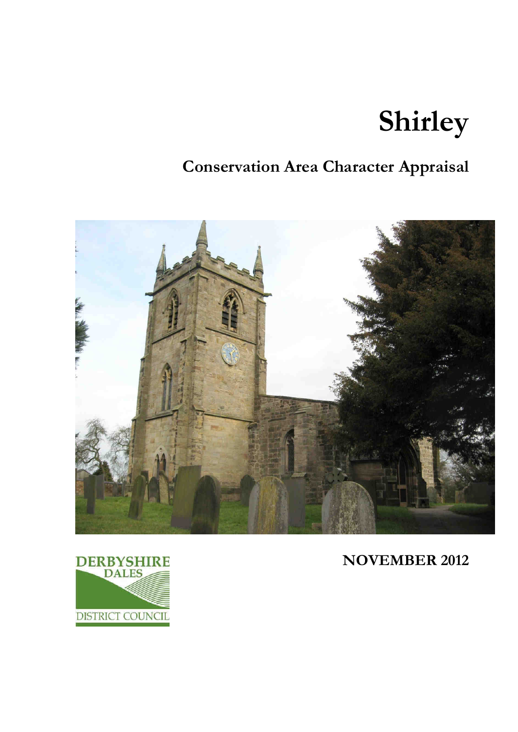# **Shirley**

## **Conservation Area Character Appraisal**



**NOVEMBER 2012** 

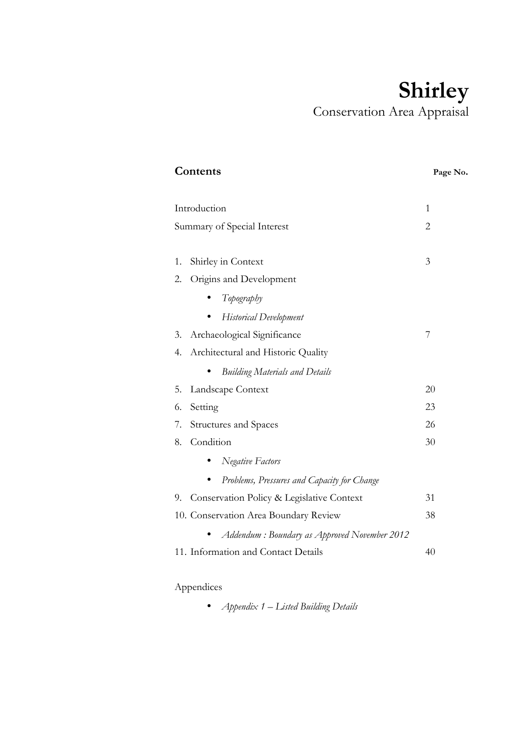# **Shirley**  Conservation Area Appraisal

| Contents                                        | Page No. |
|-------------------------------------------------|----------|
| Introduction                                    | 1        |
| Summary of Special Interest                     | 2        |
| Shirley in Context<br>1.                        | 3        |
| Origins and Development<br>2.                   |          |
| Topography                                      |          |
| <b>Historical Development</b>                   |          |
| Archaeological Significance<br>3.               | 7        |
| Architectural and Historic Quality<br>4.        |          |
| <b>Building Materials and Details</b>           |          |
| 5.<br>Landscape Context                         | 20       |
| Setting<br>6.                                   | 23       |
| <b>Structures and Spaces</b><br>7.              | 26       |
| Condition<br>8.                                 | 30       |
| <b>Negative Factors</b>                         |          |
| Problems, Pressures and Capacity for Change     |          |
| Conservation Policy & Legislative Context<br>9. | 31       |
| 10. Conservation Area Boundary Review           | 38       |
| Addendum: Boundary as Approved November 2012    |          |
| 11. Information and Contact Details             | 40       |
|                                                 |          |

### Appendices

• *Appendix 1 – Listed Building Details*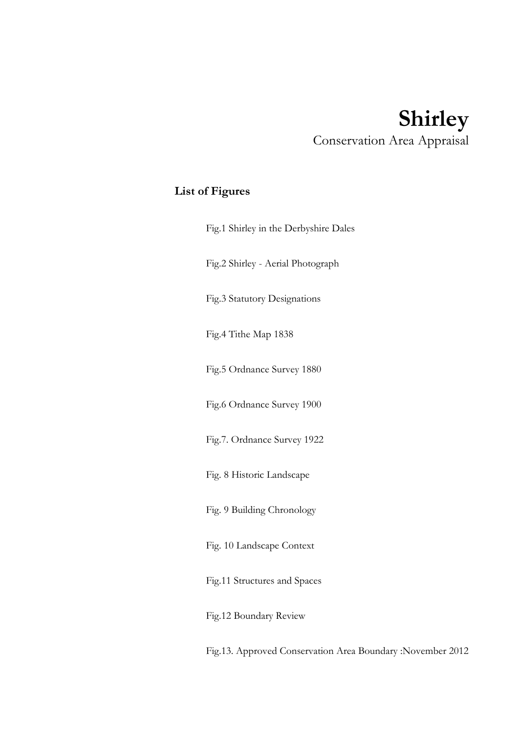### **Shirley**  Conservation Area Appraisal

### **List of Figures**

| Fig.1 Shirley in the Derbyshire Dales |
|---------------------------------------|
| Fig.2 Shirley - Aerial Photograph     |
| Fig.3 Statutory Designations          |
| Fig.4 Tithe Map 1838                  |
| Fig.5 Ordnance Survey 1880            |
| Fig.6 Ordnance Survey 1900            |
| Fig.7. Ordnance Survey 1922           |
| Fig. 8 Historic Landscape             |
| Fig. 9 Building Chronology            |
| Fig. 10 Landscape Context             |
| Fig.11 Structures and Spaces          |
| Fig.12 Boundary Review                |
|                                       |

Fig.13. Approved Conservation Area Boundary :November 2012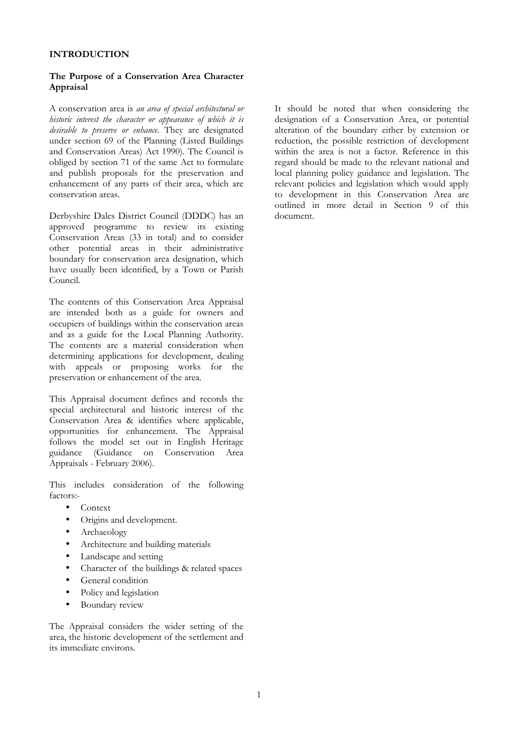#### **INTRODUCTION**

#### **The Purpose of a Conservation Area Character Appraisal**

A conservation area is *an area of special architectural or historic interest the character or appearance of which it is desirable to preserve or enhance.* They are designated under section 69 of the Planning (Listed Buildings and Conservation Areas) Act 1990). The Council is obliged by section 71 of the same Act to formulate and publish proposals for the preservation and enhancement of any parts of their area, which are conservation areas.

Derbyshire Dales District Council (DDDC) has an approved programme to review its existing Conservation Areas (33 in total) and to consider other potential areas in their administrative boundary for conservation area designation, which have usually been identified, by a Town or Parish Council.

The contents of this Conservation Area Appraisal are intended both as a guide for owners and occupiers of buildings within the conservation areas and as a guide for the Local Planning Authority. The contents are a material consideration when determining applications for development, dealing with appeals or proposing works for the preservation or enhancement of the area.

This Appraisal document defines and records the special architectural and historic interest of the Conservation Area & identifies where applicable, opportunities for enhancement. The Appraisal follows the model set out in English Heritage guidance (Guidance on Conservation Area Appraisals - February 2006).

This includes consideration of the following factors:-

- Context
- Origins and development.
- Archaeology
- Architecture and building materials
- Landscape and setting
- Character of the buildings & related spaces
- General condition
- Policy and legislation
- Boundary review

The Appraisal considers the wider setting of the area, the historic development of the settlement and its immediate environs.

It should be noted that when considering the designation of a Conservation Area, or potential alteration of the boundary either by extension or reduction, the possible restriction of development within the area is not a factor. Reference in this regard should be made to the relevant national and local planning policy guidance and legislation. The relevant policies and legislation which would apply to development in this Conservation Area are outlined in more detail in Section 9 of this document.